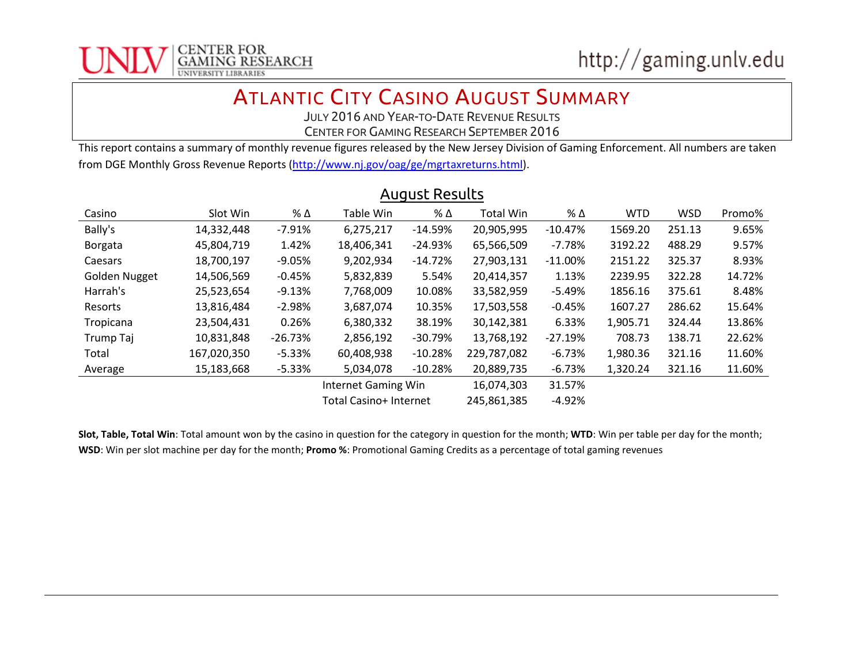

## ATLANTIC CITY CASINO AUGUST SUMMARY

JULY 2016 AND YEAR-TO-DATE REVENUE RESULTS

CENTER FOR GAMING RESEARCH SEPTEMBER 2016

This report contains a summary of monthly revenue figures released by the New Jersey Division of Gaming Enforcement. All numbers are taken from DGE Monthly Gross Revenue Reports [\(http://www.nj.gov/oag/ge/mgrtaxreturns.html\)](http://www.nj.gov/oag/ge/mgrtaxreturns.html).

| Casino               | Slot Win    | % Δ       | Table Win                  | % Δ       | <b>Total Win</b> | % Δ       | <b>WTD</b> | <b>WSD</b> | Promo% |
|----------------------|-------------|-----------|----------------------------|-----------|------------------|-----------|------------|------------|--------|
| Bally's              | 14,332,448  | $-7.91%$  | 6,275,217                  | $-14.59%$ | 20,905,995       | $-10.47%$ | 1569.20    | 251.13     | 9.65%  |
| Borgata              | 45,804,719  | 1.42%     | 18,406,341                 | $-24.93%$ | 65,566,509       | -7.78%    | 3192.22    | 488.29     | 9.57%  |
| Caesars              | 18,700,197  | $-9.05%$  | 9,202,934                  | $-14.72%$ | 27,903,131       | $-11.00%$ | 2151.22    | 325.37     | 8.93%  |
| <b>Golden Nugget</b> | 14,506,569  | $-0.45%$  | 5,832,839                  | 5.54%     | 20,414,357       | 1.13%     | 2239.95    | 322.28     | 14.72% |
| Harrah's             | 25,523,654  | $-9.13%$  | 7,768,009                  | 10.08%    | 33,582,959       | $-5.49%$  | 1856.16    | 375.61     | 8.48%  |
| Resorts              | 13,816,484  | $-2.98%$  | 3,687,074                  | 10.35%    | 17,503,558       | $-0.45%$  | 1607.27    | 286.62     | 15.64% |
| Tropicana            | 23,504,431  | 0.26%     | 6,380,332                  | 38.19%    | 30,142,381       | 6.33%     | 1,905.71   | 324.44     | 13.86% |
| Trump Taj            | 10,831,848  | $-26.73%$ | 2,856,192                  | $-30.79%$ | 13,768,192       | $-27.19%$ | 708.73     | 138.71     | 22.62% |
| Total                | 167,020,350 | $-5.33%$  | 60,408,938                 | $-10.28%$ | 229,787,082      | $-6.73%$  | 1,980.36   | 321.16     | 11.60% |
| Average              | 15,183,668  | $-5.33%$  | 5.034.078                  | $-10.28%$ | 20,889,735       | $-6.73%$  | 1,320.24   | 321.16     | 11.60% |
|                      |             |           | <b>Internet Gaming Win</b> |           | 16,074,303       | 31.57%    |            |            |        |
|                      |             |           | Total Casino+ Internet     |           | 245,861,385      | $-4.92%$  |            |            |        |

## August Results

**Slot, Table, Total Win**: Total amount won by the casino in question for the category in question for the month; **WTD**: Win per table per day for the month; **WSD**: Win per slot machine per day for the month; **Promo %**: Promotional Gaming Credits as a percentage of total gaming revenues